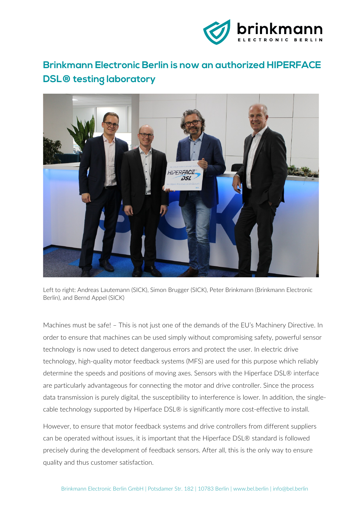

## **Brinkmann Electronic Berlin is now an authorized HIPERFACE DSL® testing laboratory**



Left to right: Andreas Lautemann (SICK), Simon Brugger (SICK), Peter Brinkmann (Brinkmann Electronic Berlin), and Bernd Appel (SICK)

Machines must be safe! – This is not just one of the demands of the EU's Machinery Directive. In order to ensure that machines can be used simply without compromising safety, powerful sensor technology is now used to detect dangerous errors and protect the user. In electric drive technology, high-quality motor feedback systems (MFS) are used for this purpose which reliably determine the speeds and positions of moving axes. Sensors with the Hiperface DSL® interface are particularly advantageous for connecting the motor and drive controller. Since the process data transmission is purely digital, the susceptibility to interference is lower. In addition, the singlecable technology supported by Hiperface DSL® is significantly more cost-effective to install.

However, to ensure that motor feedback systems and drive controllers from different suppliers can be operated without issues, it is important that the Hiperface DSL® standard is followed precisely during the development of feedback sensors. After all, this is the only way to ensure quality and thus customer satisfaction.